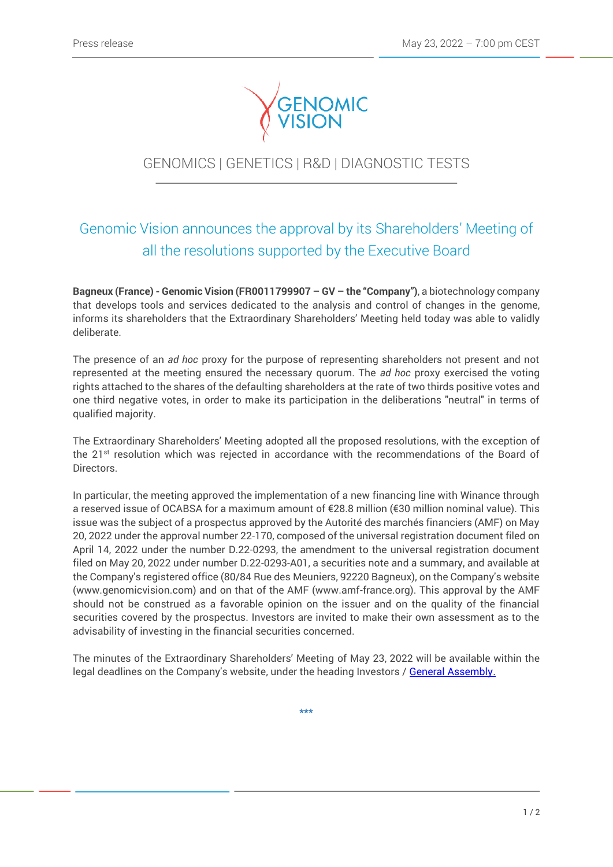

## GENOMICS | GENETICS | R&D | DIAGNOSTIC TESTS

j

# Genomic Vision announces the approval by its Shareholders' Meeting of all the resolutions supported by the Executive Board

**Bagneux (France) - Genomic Vision (FR0011799907 – GV – the "Company")**, a biotechnology company that develops tools and services dedicated to the analysis and control of changes in the genome, informs its shareholders that the Extraordinary Shareholders' Meeting held today was able to validly deliberate.

The presence of an *ad hoc* proxy for the purpose of representing shareholders not present and not represented at the meeting ensured the necessary quorum. The *ad hoc* proxy exercised the voting rights attached to the shares of the defaulting shareholders at the rate of two thirds positive votes and one third negative votes, in order to make its participation in the deliberations "neutral" in terms of qualified majority.

The Extraordinary Shareholders' Meeting adopted all the proposed resolutions, with the exception of the 21<sup>st</sup> resolution which was rejected in accordance with the recommendations of the Board of Directors.

In particular, the meeting approved the implementation of a new financing line with Winance through a reserved issue of OCABSA for a maximum amount of €28.8 million (€30 million nominal value). This issue was the subject of a prospectus approved by the Autorité des marchés financiers (AMF) on May 20, 2022 under the approval number 22-170, composed of the universal registration document filed on April 14, 2022 under the number D.22-0293, the amendment to the universal registration document filed on May 20, 2022 under number D.22-0293-A01, a securities note and a summary, and available at the Company's registered office (80/84 Rue des Meuniers, 92220 Bagneux), on the Company's website (www.genomicvision.com) and on that of the AMF (www.amf-france.org). This approval by the AMF should not be construed as a favorable opinion on the issuer and on the quality of the financial securities covered by the prospectus. Investors are invited to make their own assessment as to the advisability of investing in the financial securities concerned.

The minutes of the Extraordinary Shareholders' Meeting of May 23, 2022 will be available within the legal deadlines on the Company's website, under the heading Investors / [General Assembly.](http://www.genomicvision.com/investors/general-assembly/)

**\*\*\***